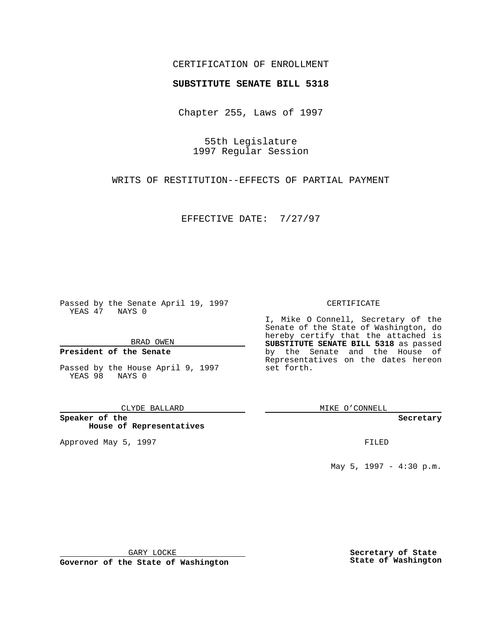## CERTIFICATION OF ENROLLMENT

# **SUBSTITUTE SENATE BILL 5318**

Chapter 255, Laws of 1997

55th Legislature 1997 Regular Session

WRITS OF RESTITUTION--EFFECTS OF PARTIAL PAYMENT

EFFECTIVE DATE: 7/27/97

Passed by the Senate April 19, 1997 YEAS 47 NAYS 0

BRAD OWEN

## **President of the Senate**

Passed by the House April 9, 1997 YEAS 98 NAYS 0

CLYDE BALLARD

**Speaker of the House of Representatives**

Approved May 5, 1997 **FILED** 

### CERTIFICATE

I, Mike O Connell, Secretary of the Senate of the State of Washington, do hereby certify that the attached is **SUBSTITUTE SENATE BILL 5318** as passed by the Senate and the House of Representatives on the dates hereon set forth.

MIKE O'CONNELL

#### **Secretary**

May 5, 1997 - 4:30 p.m.

GARY LOCKE

**Governor of the State of Washington**

**Secretary of State State of Washington**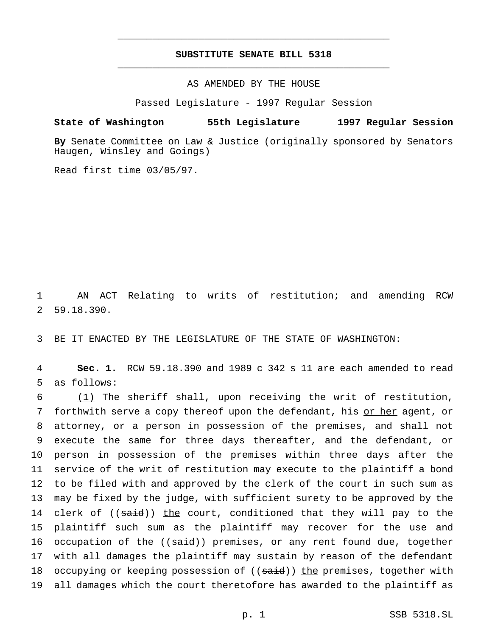## **SUBSTITUTE SENATE BILL 5318** \_\_\_\_\_\_\_\_\_\_\_\_\_\_\_\_\_\_\_\_\_\_\_\_\_\_\_\_\_\_\_\_\_\_\_\_\_\_\_\_\_\_\_\_\_\_\_

\_\_\_\_\_\_\_\_\_\_\_\_\_\_\_\_\_\_\_\_\_\_\_\_\_\_\_\_\_\_\_\_\_\_\_\_\_\_\_\_\_\_\_\_\_\_\_

AS AMENDED BY THE HOUSE

Passed Legislature - 1997 Regular Session

**State of Washington 55th Legislature 1997 Regular Session**

**By** Senate Committee on Law & Justice (originally sponsored by Senators Haugen, Winsley and Goings)

Read first time 03/05/97.

1 AN ACT Relating to writs of restitution; and amending RCW 2 59.18.390.

3 BE IT ENACTED BY THE LEGISLATURE OF THE STATE OF WASHINGTON:

4 **Sec. 1.** RCW 59.18.390 and 1989 c 342 s 11 are each amended to read 5 as follows:

 (1) The sheriff shall, upon receiving the writ of restitution, 7 forthwith serve a copy thereof upon the defendant, his or her agent, or attorney, or a person in possession of the premises, and shall not execute the same for three days thereafter, and the defendant, or person in possession of the premises within three days after the service of the writ of restitution may execute to the plaintiff a bond to be filed with and approved by the clerk of the court in such sum as may be fixed by the judge, with sufficient surety to be approved by the 14 clerk of ((said)) the court, conditioned that they will pay to the plaintiff such sum as the plaintiff may recover for the use and 16 occupation of the ((said)) premises, or any rent found due, together with all damages the plaintiff may sustain by reason of the defendant 18 occupying or keeping possession of ((said)) the premises, together with all damages which the court theretofore has awarded to the plaintiff as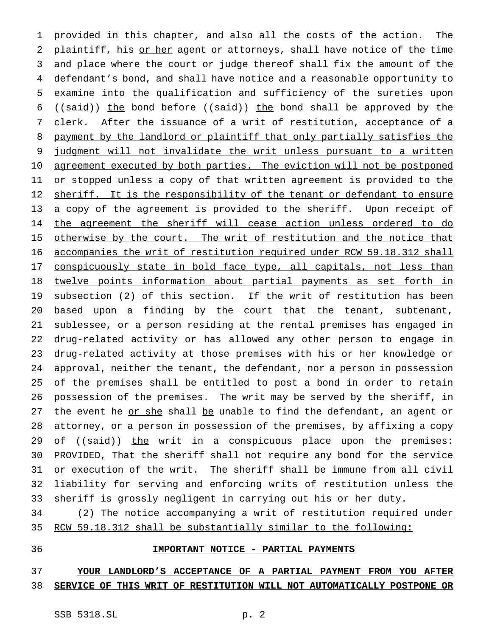provided in this chapter, and also all the costs of the action. The 2 plaintiff, his or her agent or attorneys, shall have notice of the time and place where the court or judge thereof shall fix the amount of the defendant's bond, and shall have notice and a reasonable opportunity to examine into the qualification and sufficiency of the sureties upon 6 (( $\text{said}$ )) the bond before (( $\text{said}$ )) the bond shall be approved by the 7 clerk. After the issuance of a writ of restitution, acceptance of a payment by the landlord or plaintiff that only partially satisfies the 9 judgment will not invalidate the writ unless pursuant to a written 10 agreement executed by both parties. The eviction will not be postponed 11 <u>or stopped unless a copy of that written agreement is provided to the</u> 12 sheriff. It is the responsibility of the tenant or defendant to ensure 13 a copy of the agreement is provided to the sheriff. Upon receipt of 14 the agreement the sheriff will cease action unless ordered to do 15 otherwise by the court. The writ of restitution and the notice that accompanies the writ of restitution required under RCW 59.18.312 shall 17 conspicuously state in bold face type, all capitals, not less than twelve points information about partial payments as set forth in 19 subsection (2) of this section. If the writ of restitution has been based upon a finding by the court that the tenant, subtenant, sublessee, or a person residing at the rental premises has engaged in drug-related activity or has allowed any other person to engage in drug-related activity at those premises with his or her knowledge or approval, neither the tenant, the defendant, nor a person in possession of the premises shall be entitled to post a bond in order to retain possession of the premises. The writ may be served by the sheriff, in 27 the event he or she shall be unable to find the defendant, an agent or attorney, or a person in possession of the premises, by affixing a copy 29 of ((said)) the writ in a conspicuous place upon the premises: PROVIDED, That the sheriff shall not require any bond for the service or execution of the writ. The sheriff shall be immune from all civil liability for serving and enforcing writs of restitution unless the sheriff is grossly negligent in carrying out his or her duty.

 (2) The notice accompanying a writ of restitution required under RCW 59.18.312 shall be substantially similar to the following:

## **IMPORTANT NOTICE - PARTIAL PAYMENTS**

# **YOUR LANDLORD'S ACCEPTANCE OF A PARTIAL PAYMENT FROM YOU AFTER SERVICE OF THIS WRIT OF RESTITUTION WILL NOT AUTOMATICALLY POSTPONE OR**